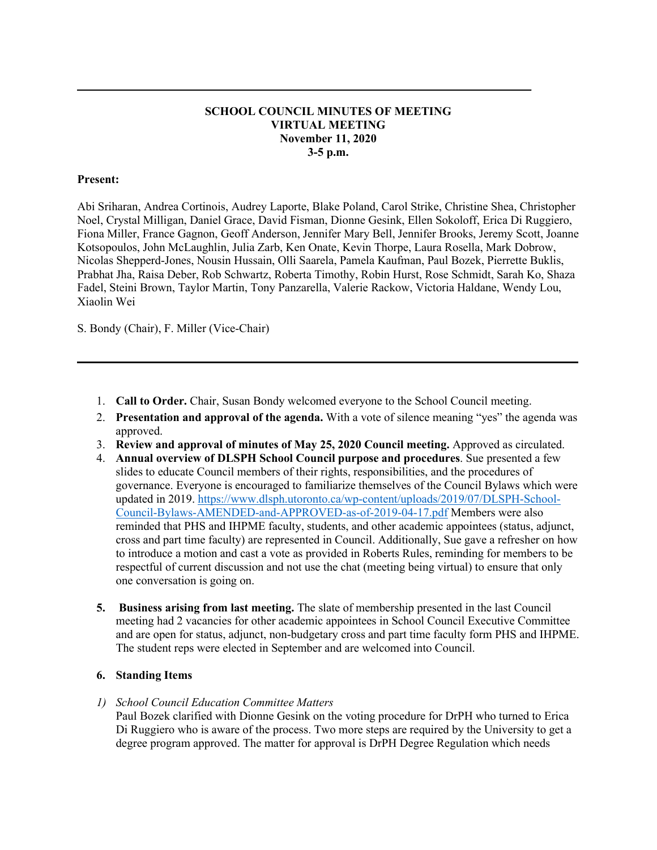## **SCHOOL COUNCIL MINUTES OF MEETING VIRTUAL MEETING November 11, 2020 3-5 p.m.**

**\_\_\_\_\_\_\_\_\_\_\_\_\_\_\_\_\_\_\_\_\_\_\_\_\_\_\_\_\_\_\_\_\_\_\_\_\_\_\_\_\_\_\_\_\_\_\_\_\_\_\_\_\_\_\_\_\_\_\_\_\_\_\_\_\_\_\_\_\_\_\_\_\_\_\_\_\_**

## **Present:**

Abi Sriharan, Andrea Cortinois, Audrey Laporte, Blake Poland, Carol Strike, Christine Shea, Christopher Noel, Crystal Milligan, Daniel Grace, David Fisman, Dionne Gesink, Ellen Sokoloff, Erica Di Ruggiero, Fiona Miller, France Gagnon, Geoff Anderson, Jennifer Mary Bell, Jennifer Brooks, Jeremy Scott, Joanne Kotsopoulos, John McLaughlin, Julia Zarb, Ken Onate, Kevin Thorpe, Laura Rosella, Mark Dobrow, Nicolas Shepperd-Jones, Nousin Hussain, Olli Saarela, Pamela Kaufman, Paul Bozek, Pierrette Buklis, Prabhat Jha, Raisa Deber, Rob Schwartz, Roberta Timothy, Robin Hurst, Rose Schmidt, Sarah Ko, Shaza Fadel, Steini Brown, Taylor Martin, Tony Panzarella, Valerie Rackow, Victoria Haldane, Wendy Lou, Xiaolin Wei

S. Bondy (Chair), F. Miller (Vice-Chair)

- 1. **Call to Order.** Chair, Susan Bondy welcomed everyone to the School Council meeting.
- 2. **Presentation and approval of the agenda.** With a vote of silence meaning "yes" the agenda was approved.
- 3. **Review and approval of minutes of May 25, 2020 Council meeting.** Approved as circulated.

**\_\_\_\_\_\_\_\_\_\_\_\_\_\_\_\_\_\_\_\_\_\_\_\_\_\_\_\_\_\_\_\_\_\_\_\_\_\_\_\_\_\_\_\_\_\_\_\_\_\_\_\_\_\_\_\_\_\_\_\_\_\_\_\_\_\_\_\_\_\_\_\_\_\_\_\_\_\_**

- 4. **Annual overview of DLSPH School Council purpose and procedures**. Sue presented a few slides to educate Council members of their rights, responsibilities, and the procedures of governance. Everyone is encouraged to familiarize themselves of the Council Bylaws which were updated in 2019. [https://www.dlsph.utoronto.ca/wp-content/uploads/2019/07/DLSPH-School-](https://www.dlsph.utoronto.ca/wp-content/uploads/2019/07/DLSPH-School-Council-Bylaws-AMENDED-and-APPROVED-as-of-2019-04-17.pdf)[Council-Bylaws-AMENDED-and-APPROVED-as-of-2019-04-17.pdf](https://www.dlsph.utoronto.ca/wp-content/uploads/2019/07/DLSPH-School-Council-Bylaws-AMENDED-and-APPROVED-as-of-2019-04-17.pdf) Members were also reminded that PHS and IHPME faculty, students, and other academic appointees (status, adjunct, cross and part time faculty) are represented in Council. Additionally, Sue gave a refresher on how to introduce a motion and cast a vote as provided in Roberts Rules, reminding for members to be respectful of current discussion and not use the chat (meeting being virtual) to ensure that only one conversation is going on.
- **5. Business arising from last meeting.** The slate of membership presented in the last Council meeting had 2 vacancies for other academic appointees in School Council Executive Committee and are open for status, adjunct, non-budgetary cross and part time faculty form PHS and IHPME. The student reps were elected in September and are welcomed into Council.

#### **6. Standing Items**

*1) School Council Education Committee Matters*

Paul Bozek clarified with Dionne Gesink on the voting procedure for DrPH who turned to Erica Di Ruggiero who is aware of the process. Two more steps are required by the University to get a degree program approved. The matter for approval is DrPH Degree Regulation which needs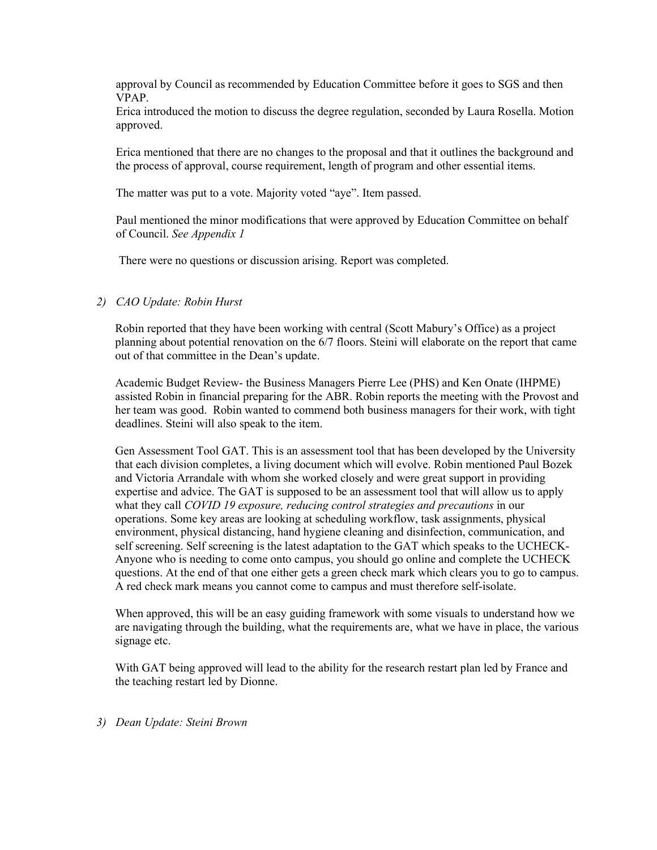approval by Council as recommended by Education Committee before it goes to SGS and then VPAP.

Erica introduced the motion to discuss the degree regulation, seconded by Laura Rosella. Motion approved.

Erica mentioned that there are no changes to the proposal and that it outlines the background and the process of approval, course requirement, length of program and other essential items.

The matter was put to a vote. Majority voted "aye". Item passed.

Paul mentioned the minor modifications that were approved by Education Committee on behalf of Council. *See Appendix 1*

There were no questions or discussion arising. Report was completed.

## *2) CAO Update: Robin Hurst*

Robin reported that they have been working with central (Scott Mabury's Office) as a project planning about potential renovation on the 6/7 floors. Steini will elaborate on the report that came out of that committee in the Dean's update.

Academic Budget Review- the Business Managers Pierre Lee (PHS) and Ken Onate (IHPME) assisted Robin in financial preparing for the ABR. Robin reports the meeting with the Provost and her team was good. Robin wanted to commend both business managers for their work, with tight deadlines. Steini will also speak to the item.

Gen Assessment Tool GAT. This is an assessment tool that has been developed by the University that each division completes, a living document which will evolve. Robin mentioned Paul Bozek and Victoria Arrandale with whom she worked closely and were great support in providing expertise and advice. The GAT is supposed to be an assessment tool that will allow us to apply what they call *COVID 19 exposure, reducing control strategies and precautions* in our operations. Some key areas are looking at scheduling workflow, task assignments, physical environment, physical distancing, hand hygiene cleaning and disinfection, communication, and self screening. Self screening is the latest adaptation to the GAT which speaks to the UCHECK-Anyone who is needing to come onto campus, you should go online and complete the UCHECK questions. At the end of that one either gets a green check mark which clears you to go to campus. A red check mark means you cannot come to campus and must therefore self-isolate.

When approved, this will be an easy guiding framework with some visuals to understand how we are navigating through the building, what the requirements are, what we have in place, the various signage etc.

With GAT being approved will lead to the ability for the research restart plan led by France and the teaching restart led by Dionne.

*3) Dean Update: Steini Brown*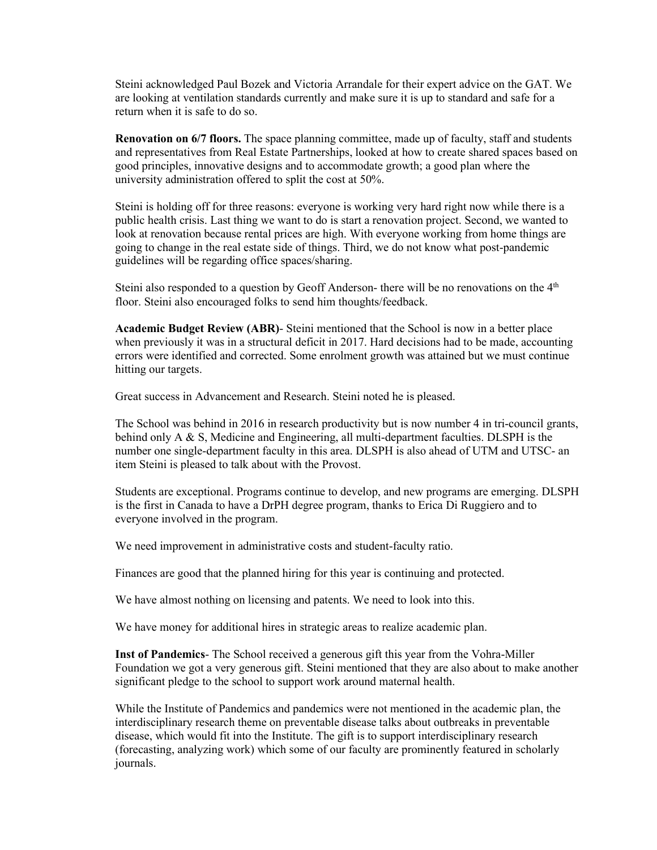Steini acknowledged Paul Bozek and Victoria Arrandale for their expert advice on the GAT. We are looking at ventilation standards currently and make sure it is up to standard and safe for a return when it is safe to do so.

**Renovation on 6/7 floors.** The space planning committee, made up of faculty, staff and students and representatives from Real Estate Partnerships, looked at how to create shared spaces based on good principles, innovative designs and to accommodate growth; a good plan where the university administration offered to split the cost at 50%.

Steini is holding off for three reasons: everyone is working very hard right now while there is a public health crisis. Last thing we want to do is start a renovation project. Second, we wanted to look at renovation because rental prices are high. With everyone working from home things are going to change in the real estate side of things. Third, we do not know what post-pandemic guidelines will be regarding office spaces/sharing.

Steini also responded to a question by Geoff Anderson- there will be no renovations on the 4<sup>th</sup> floor. Steini also encouraged folks to send him thoughts/feedback.

**Academic Budget Review (ABR)**- Steini mentioned that the School is now in a better place when previously it was in a structural deficit in 2017. Hard decisions had to be made, accounting errors were identified and corrected. Some enrolment growth was attained but we must continue hitting our targets.

Great success in Advancement and Research. Steini noted he is pleased.

The School was behind in 2016 in research productivity but is now number 4 in tri-council grants, behind only A & S, Medicine and Engineering, all multi-department faculties. DLSPH is the number one single-department faculty in this area. DLSPH is also ahead of UTM and UTSC- an item Steini is pleased to talk about with the Provost.

Students are exceptional. Programs continue to develop, and new programs are emerging. DLSPH is the first in Canada to have a DrPH degree program, thanks to Erica Di Ruggiero and to everyone involved in the program.

We need improvement in administrative costs and student-faculty ratio.

Finances are good that the planned hiring for this year is continuing and protected.

We have almost nothing on licensing and patents. We need to look into this.

We have money for additional hires in strategic areas to realize academic plan.

**Inst of Pandemics**- The School received a generous gift this year from the Vohra-Miller Foundation we got a very generous gift. Steini mentioned that they are also about to make another significant pledge to the school to support work around maternal health.

While the Institute of Pandemics and pandemics were not mentioned in the academic plan, the interdisciplinary research theme on preventable disease talks about outbreaks in preventable disease, which would fit into the Institute. The gift is to support interdisciplinary research (forecasting, analyzing work) which some of our faculty are prominently featured in scholarly journals.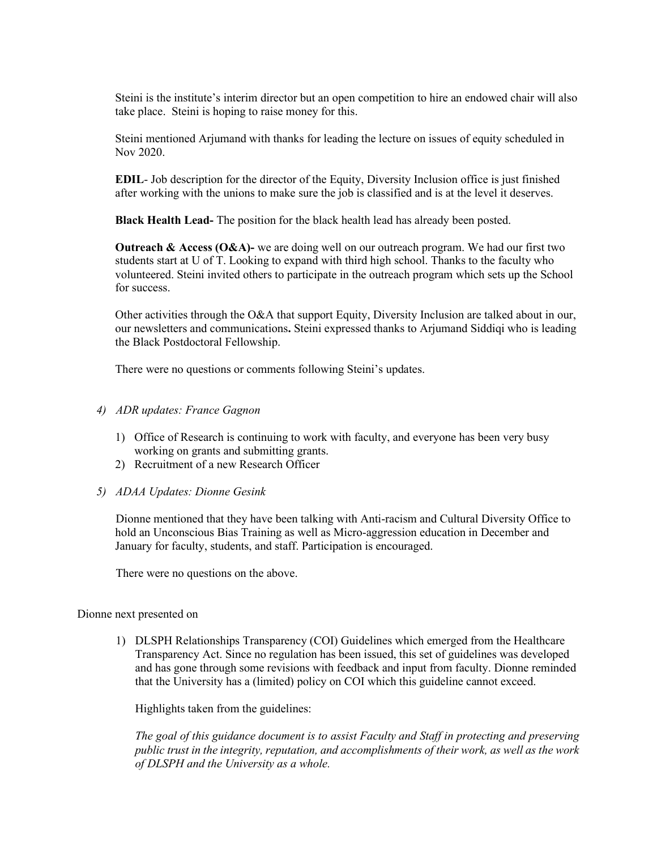Steini is the institute's interim director but an open competition to hire an endowed chair will also take place. Steini is hoping to raise money for this.

Steini mentioned Arjumand with thanks for leading the lecture on issues of equity scheduled in Nov 2020.

**EDIL**- Job description for the director of the Equity, Diversity Inclusion office is just finished after working with the unions to make sure the job is classified and is at the level it deserves.

**Black Health Lead-** The position for the black health lead has already been posted.

**Outreach & Access (O&A)-** we are doing well on our outreach program. We had our first two students start at U of T. Looking to expand with third high school. Thanks to the faculty who volunteered. Steini invited others to participate in the outreach program which sets up the School for success.

Other activities through the O&A that support Equity, Diversity Inclusion are talked about in our, our newsletters and communications**.** Steini expressed thanks to Arjumand Siddiqi who is leading the Black Postdoctoral Fellowship.

There were no questions or comments following Steini's updates.

#### *4) ADR updates: France Gagnon*

- 1) Office of Research is continuing to work with faculty, and everyone has been very busy working on grants and submitting grants.
- 2) Recruitment of a new Research Officer
- *5) ADAA Updates: Dionne Gesink*

Dionne mentioned that they have been talking with Anti-racism and Cultural Diversity Office to hold an Unconscious Bias Training as well as Micro-aggression education in December and January for faculty, students, and staff. Participation is encouraged.

There were no questions on the above.

#### Dionne next presented on

1) DLSPH Relationships Transparency (COI) Guidelines which emerged from the Healthcare Transparency Act. Since no regulation has been issued, this set of guidelines was developed and has gone through some revisions with feedback and input from faculty. Dionne reminded that the University has a (limited) policy on COI which this guideline cannot exceed.

Highlights taken from the guidelines:

*The goal of this guidance document is to assist Faculty and Staff in protecting and preserving public trust in the integrity, reputation, and accomplishments of their work, as well as the work of DLSPH and the University as a whole.*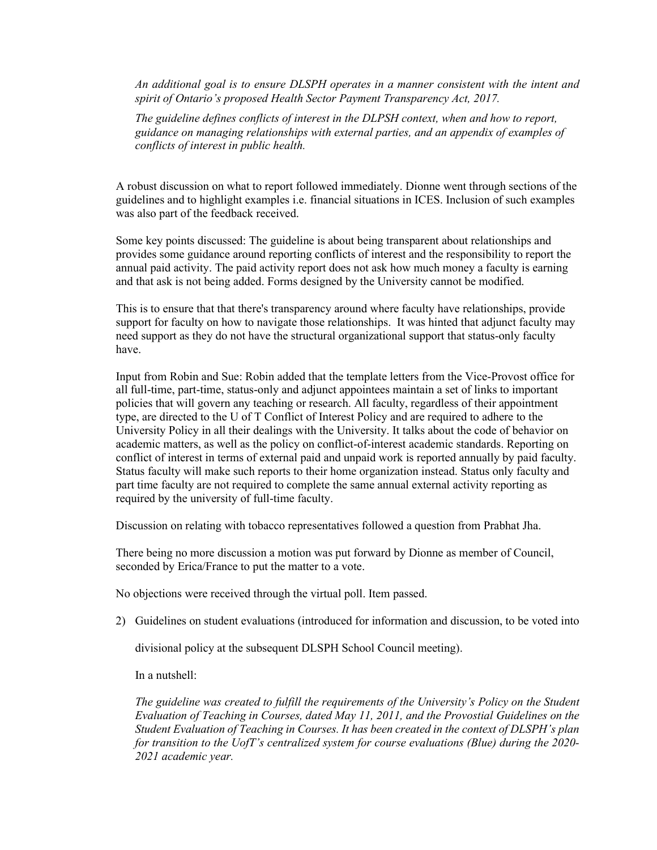*An additional goal is to ensure DLSPH operates in a manner consistent with the intent and spirit of Ontario's proposed Health Sector Payment Transparency Act, 2017.*

*The guideline defines conflicts of interest in the DLPSH context, when and how to report, guidance on managing relationships with external parties, and an appendix of examples of conflicts of interest in public health.*

A robust discussion on what to report followed immediately. Dionne went through sections of the guidelines and to highlight examples i.e. financial situations in ICES. Inclusion of such examples was also part of the feedback received.

Some key points discussed: The guideline is about being transparent about relationships and provides some guidance around reporting conflicts of interest and the responsibility to report the annual paid activity. The paid activity report does not ask how much money a faculty is earning and that ask is not being added. Forms designed by the University cannot be modified.

This is to ensure that that there's transparency around where faculty have relationships, provide support for faculty on how to navigate those relationships. It was hinted that adjunct faculty may need support as they do not have the structural organizational support that status-only faculty have.

Input from Robin and Sue: Robin added that the template letters from the Vice-Provost office for all full-time, part-time, status-only and adjunct appointees maintain a set of links to important policies that will govern any teaching or research. All faculty, regardless of their appointment type, are directed to the U of T Conflict of Interest Policy and are required to adhere to the University Policy in all their dealings with the University. It talks about the code of behavior on academic matters, as well as the policy on conflict-of-interest academic standards. Reporting on conflict of interest in terms of external paid and unpaid work is reported annually by paid faculty. Status faculty will make such reports to their home organization instead. Status only faculty and part time faculty are not required to complete the same annual external activity reporting as required by the university of full-time faculty.

Discussion on relating with tobacco representatives followed a question from Prabhat Jha.

There being no more discussion a motion was put forward by Dionne as member of Council, seconded by Erica/France to put the matter to a vote.

No objections were received through the virtual poll. Item passed.

2) Guidelines on student evaluations (introduced for information and discussion, to be voted into

divisional policy at the subsequent DLSPH School Council meeting).

In a nutshell:

*The guideline was created to fulfill the requirements of the University's Policy on the Student Evaluation of Teaching in Courses, dated May 11, 2011, and the Provostial Guidelines on the Student Evaluation of Teaching in Courses. It has been created in the context of DLSPH's plan for transition to the UofT's centralized system for course evaluations (Blue) during the 2020- 2021 academic year.*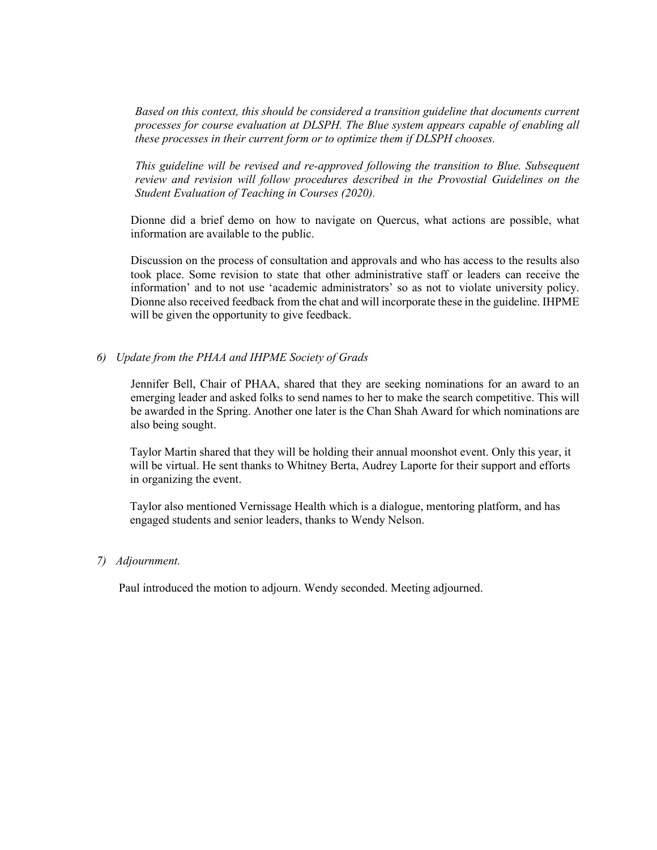*Based on this context, this should be considered a transition guideline that documents current processes for course evaluation at DLSPH. The Blue system appears capable of enabling all these processes in their current form or to optimize them if DLSPH chooses.* 

*This guideline will be revised and re-approved following the transition to Blue. Subsequent review and revision will follow procedures described in the Provostial Guidelines on the Student Evaluation of Teaching in Courses (2020).* 

Dionne did a brief demo on how to navigate on Quercus, what actions are possible, what information are available to the public.

Discussion on the process of consultation and approvals and who has access to the results also took place. Some revision to state that other administrative staff or leaders can receive the information' and to not use 'academic administrators' so as not to violate university policy. Dionne also received feedback from the chat and will incorporate these in the guideline. IHPME will be given the opportunity to give feedback.

### *6) Update from the PHAA and IHPME Society of Grads*

Jennifer Bell, Chair of PHAA, shared that they are seeking nominations for an award to an emerging leader and asked folks to send names to her to make the search competitive. This will be awarded in the Spring. Another one later is the Chan Shah Award for which nominations are also being sought.

Taylor Martin shared that they will be holding their annual moonshot event. Only this year, it will be virtual. He sent thanks to Whitney Berta, Audrey Laporte for their support and efforts in organizing the event.

Taylor also mentioned Vernissage Health which is a dialogue, mentoring platform, and has engaged students and senior leaders, thanks to Wendy Nelson.

#### *7) Adjournment.*

Paul introduced the motion to adjourn. Wendy seconded. Meeting adjourned.